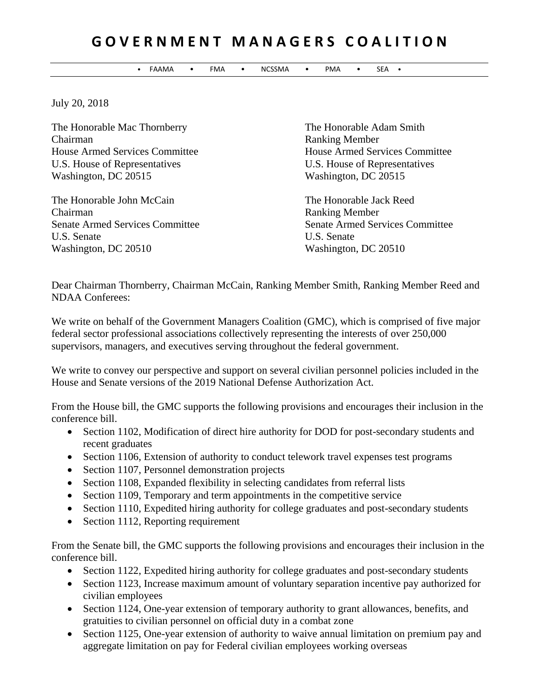## **G O V E R N M E N T M A N A G E R S C O A L I T I O N**

• FAAMA • FMA • NCSSMA • PMA • SEA •

July 20, 2018

The Honorable Mac Thornberry The Honorable Adam Smith Chairman Ranking Member U.S. House of Representatives U.S. House of Representatives Washington, DC 20515 Washington, DC 20515

The Honorable John McCain The Honorable Jack Reed Chairman Ranking Member U.S. Senate U.S. Senate Washington, DC 20510 Washington, DC 20510

House Armed Services Committee House Armed Services Committee

Senate Armed Services Committee Senate Armed Services Committee

Dear Chairman Thornberry, Chairman McCain, Ranking Member Smith, Ranking Member Reed and NDAA Conferees:

We write on behalf of the Government Managers Coalition (GMC), which is comprised of five major federal sector professional associations collectively representing the interests of over 250,000 supervisors, managers, and executives serving throughout the federal government.

We write to convey our perspective and support on several civilian personnel policies included in the House and Senate versions of the 2019 National Defense Authorization Act.

From the House bill, the GMC supports the following provisions and encourages their inclusion in the conference bill.

- Section 1102, Modification of direct hire authority for DOD for post-secondary students and recent graduates
- Section 1106, Extension of authority to conduct telework travel expenses test programs
- Section 1107, Personnel demonstration projects
- Section 1108, Expanded flexibility in selecting candidates from referral lists
- Section 1109, Temporary and term appointments in the competitive service
- Section 1110, Expedited hiring authority for college graduates and post-secondary students
- Section 1112, Reporting requirement

From the Senate bill, the GMC supports the following provisions and encourages their inclusion in the conference bill.

- Section 1122, Expedited hiring authority for college graduates and post-secondary students
- Section 1123, Increase maximum amount of voluntary separation incentive pay authorized for civilian employees
- Section 1124, One-year extension of temporary authority to grant allowances, benefits, and gratuities to civilian personnel on official duty in a combat zone
- Section 1125, One-year extension of authority to waive annual limitation on premium pay and aggregate limitation on pay for Federal civilian employees working overseas